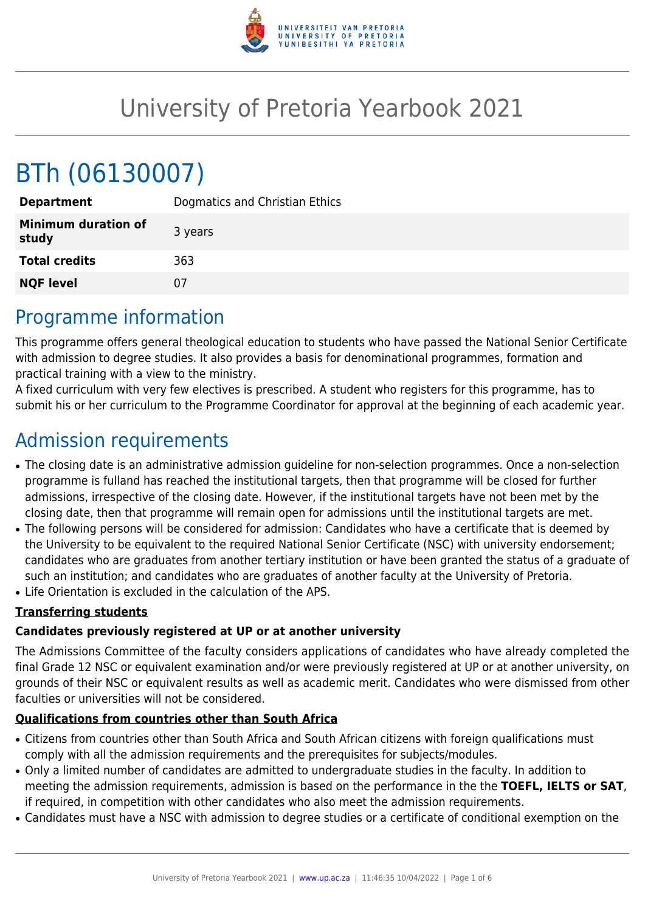

# University of Pretoria Yearbook 2021

# BTh (06130007)

| <b>Department</b>                   | Dogmatics and Christian Ethics |
|-------------------------------------|--------------------------------|
| <b>Minimum duration of</b><br>study | 3 years                        |
| <b>Total credits</b>                | 363                            |
| <b>NQF level</b>                    | 07                             |

# Programme information

This programme offers general theological education to students who have passed the National Senior Certificate with admission to degree studies. It also provides a basis for denominational programmes, formation and practical training with a view to the ministry.

A fixed curriculum with very few electives is prescribed. A student who registers for this programme, has to submit his or her curriculum to the Programme Coordinator for approval at the beginning of each academic year.

# Admission requirements

- The closing date is an administrative admission guideline for non-selection programmes. Once a non-selection programme is fulland has reached the institutional targets, then that programme will be closed for further admissions, irrespective of the closing date. However, if the institutional targets have not been met by the closing date, then that programme will remain open for admissions until the institutional targets are met.
- The following persons will be considered for admission: Candidates who have a certificate that is deemed by the University to be equivalent to the required National Senior Certificate (NSC) with university endorsement; candidates who are graduates from another tertiary institution or have been granted the status of a graduate of such an institution; and candidates who are graduates of another faculty at the University of Pretoria.
- Life Orientation is excluded in the calculation of the APS.

### **Transferring students**

### **Candidates previously registered at UP or at another university**

The Admissions Committee of the faculty considers applications of candidates who have already completed the final Grade 12 NSC or equivalent examination and/or were previously registered at UP or at another university, on grounds of their NSC or equivalent results as well as academic merit. Candidates who were dismissed from other faculties or universities will not be considered.

### **Qualifications from countries other than South Africa**

- Citizens from countries other than South Africa and South African citizens with foreign qualifications must comply with all the admission requirements and the prerequisites for subjects/modules.
- Only a limited number of candidates are admitted to undergraduate studies in the faculty. In addition to meeting the admission requirements, admission is based on the performance in the the **TOEFL, IELTS or SAT**, if required, in competition with other candidates who also meet the admission requirements.
- Candidates must have a NSC with admission to degree studies or a certificate of conditional exemption on the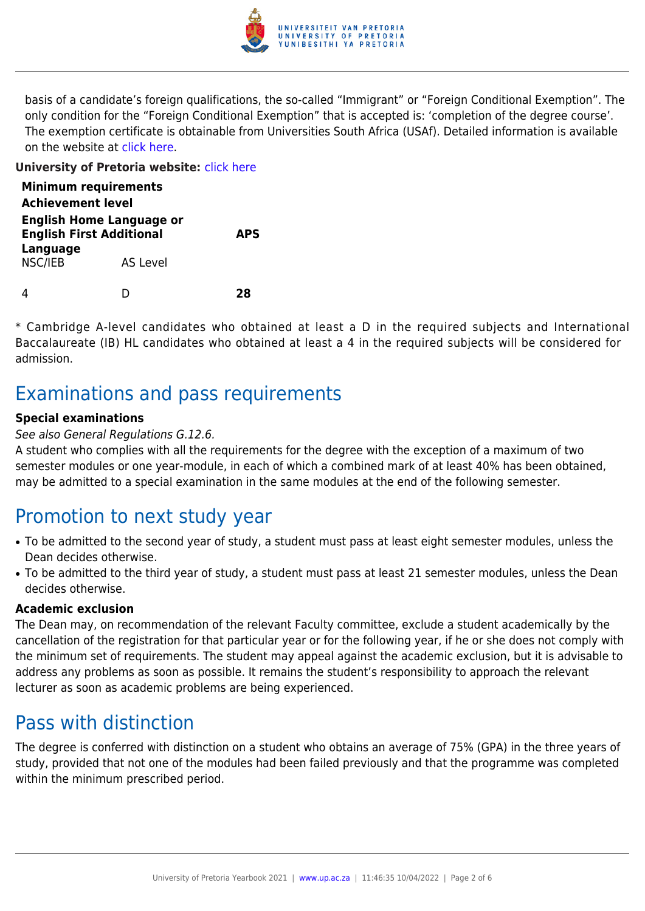

basis of a candidate's foreign qualifications, the so-called "Immigrant" or "Foreign Conditional Exemption". The only condition for the "Foreign Conditional Exemption" that is accepted is: 'completion of the degree course'. The exemption certificate is obtainable from Universities South Africa (USAf). Detailed information is available on the website at [click here](http://mb.usaf.ac.za).

#### **University of Pretoria website:** [click here](http://www.up.ac.za/theology)

| <b>Minimum requirements</b><br><b>Achievement level</b>            |                 |            |
|--------------------------------------------------------------------|-----------------|------------|
| <b>English Home Language or</b><br><b>English First Additional</b> |                 | <b>APS</b> |
| Language<br>NSC/IEB                                                | <b>AS Level</b> |            |
|                                                                    |                 | 78         |

\* Cambridge A-level candidates who obtained at least a D in the required subjects and International Baccalaureate (IB) HL candidates who obtained at least a 4 in the required subjects will be considered for admission.

## Examinations and pass requirements

#### **Special examinations**

#### See also General Regulations G.12.6.

A student who complies with all the requirements for the degree with the exception of a maximum of two semester modules or one year-module, in each of which a combined mark of at least 40% has been obtained, may be admitted to a special examination in the same modules at the end of the following semester.

## Promotion to next study year

- To be admitted to the second year of study, a student must pass at least eight semester modules, unless the Dean decides otherwise.
- To be admitted to the third year of study, a student must pass at least 21 semester modules, unless the Dean decides otherwise.

#### **Academic exclusion**

The Dean may, on recommendation of the relevant Faculty committee, exclude a student academically by the cancellation of the registration for that particular year or for the following year, if he or she does not comply with the minimum set of requirements. The student may appeal against the academic exclusion, but it is advisable to address any problems as soon as possible. It remains the student's responsibility to approach the relevant lecturer as soon as academic problems are being experienced.

## Pass with distinction

The degree is conferred with distinction on a student who obtains an average of 75% (GPA) in the three years of study, provided that not one of the modules had been failed previously and that the programme was completed within the minimum prescribed period.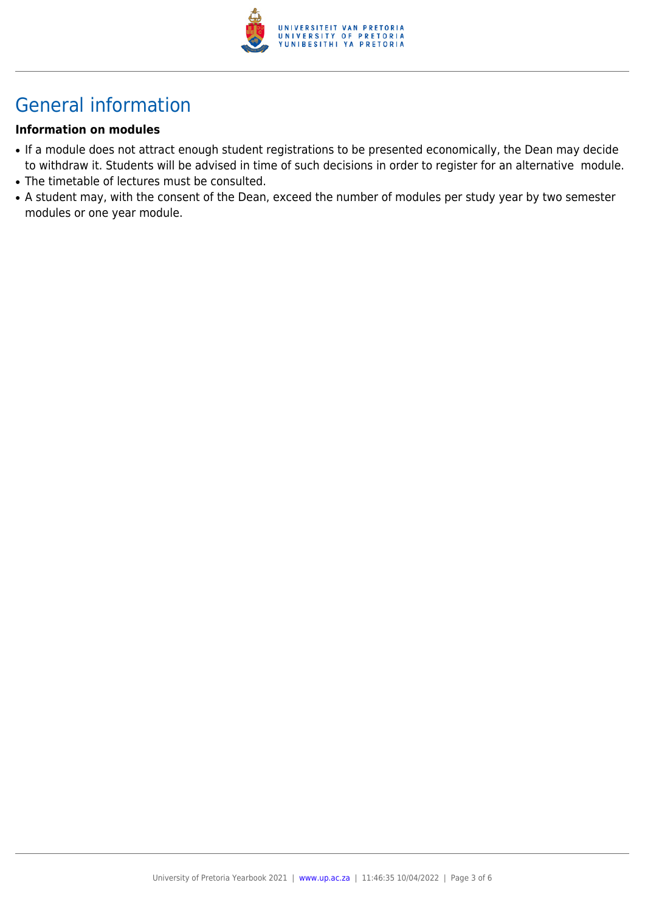

# General information

#### **Information on modules**

- If a module does not attract enough student registrations to be presented economically, the Dean may decide to withdraw it. Students will be advised in time of such decisions in order to register for an alternative module.
- The timetable of lectures must be consulted.
- A student may, with the consent of the Dean, exceed the number of modules per study year by two semester modules or one year module.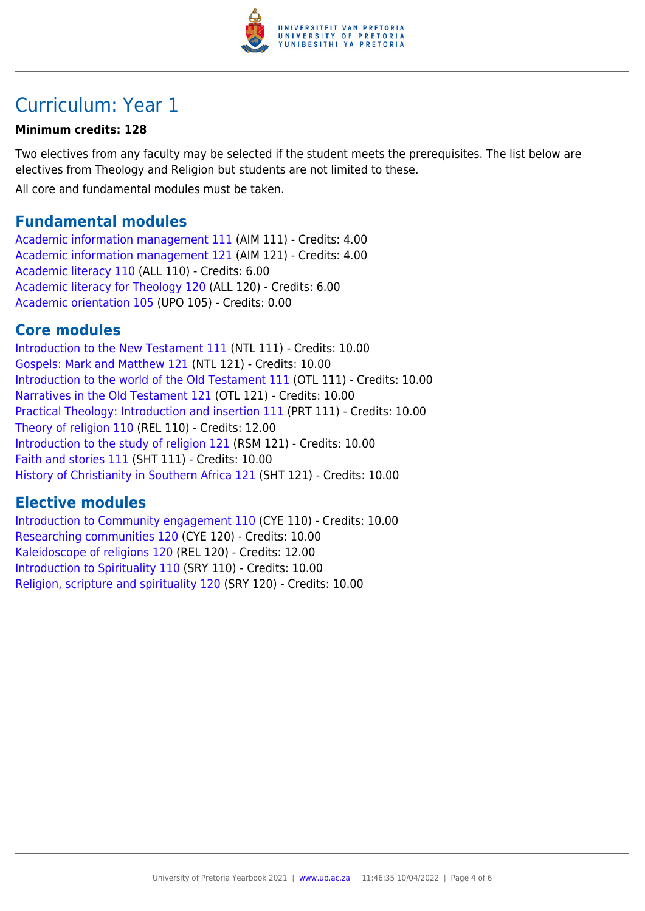

# Curriculum: Year 1

#### **Minimum credits: 128**

Two electives from any faculty may be selected if the student meets the prerequisites. The list below are electives from Theology and Religion but students are not limited to these.

All core and fundamental modules must be taken.

### **Fundamental modules**

[Academic information management 111](https://www.up.ac.za/yearbooks/2021/modules/view/AIM 111) (AIM 111) - Credits: 4.00 [Academic information management 121](https://www.up.ac.za/yearbooks/2021/modules/view/AIM 121) (AIM 121) - Credits: 4.00 [Academic literacy 110](https://www.up.ac.za/yearbooks/2021/modules/view/ALL 110) (ALL 110) - Credits: 6.00 [Academic literacy for Theology 120](https://www.up.ac.za/yearbooks/2021/modules/view/ALL 120) (ALL 120) - Credits: 6.00 [Academic orientation 105](https://www.up.ac.za/yearbooks/2021/modules/view/UPO 105) (UPO 105) - Credits: 0.00

### **Core modules**

[Introduction to the New Testament 111](https://www.up.ac.za/yearbooks/2021/modules/view/NTL 111) (NTL 111) - Credits: 10.00 [Gospels: Mark and Matthew 121](https://www.up.ac.za/yearbooks/2021/modules/view/NTL 121) (NTL 121) - Credits: 10.00 [Introduction to the world of the Old Testament 111](https://www.up.ac.za/yearbooks/2021/modules/view/OTL 111) (OTL 111) - Credits: 10.00 [Narratives in the Old Testament 121](https://www.up.ac.za/yearbooks/2021/modules/view/OTL 121) (OTL 121) - Credits: 10.00 [Practical Theology: Introduction and insertion 111](https://www.up.ac.za/yearbooks/2021/modules/view/PRT 111) (PRT 111) - Credits: 10.00 [Theory of religion 110](https://www.up.ac.za/yearbooks/2021/modules/view/REL 110) (REL 110) - Credits: 12.00 [Introduction to the study of religion 121](https://www.up.ac.za/yearbooks/2021/modules/view/RSM 121) (RSM 121) - Credits: 10.00 [Faith and stories 111](https://www.up.ac.za/yearbooks/2021/modules/view/SHT 111) (SHT 111) - Credits: 10.00 [History of Christianity in Southern Africa 121](https://www.up.ac.za/yearbooks/2021/modules/view/SHT 121) (SHT 121) - Credits: 10.00

### **Elective modules**

[Introduction to Community engagement 110](https://www.up.ac.za/yearbooks/2021/modules/view/CYE 110) (CYE 110) - Credits: 10.00 [Researching communities 120](https://www.up.ac.za/yearbooks/2021/modules/view/CYE 120) (CYE 120) - Credits: 10.00 [Kaleidoscope of religions 120](https://www.up.ac.za/yearbooks/2021/modules/view/REL 120) (REL 120) - Credits: 12.00 [Introduction to Spirituality 110](https://www.up.ac.za/yearbooks/2021/modules/view/SRY 110) (SRY 110) - Credits: 10.00 [Religion, scripture and spirituality 120](https://www.up.ac.za/yearbooks/2021/modules/view/SRY 120) (SRY 120) - Credits: 10.00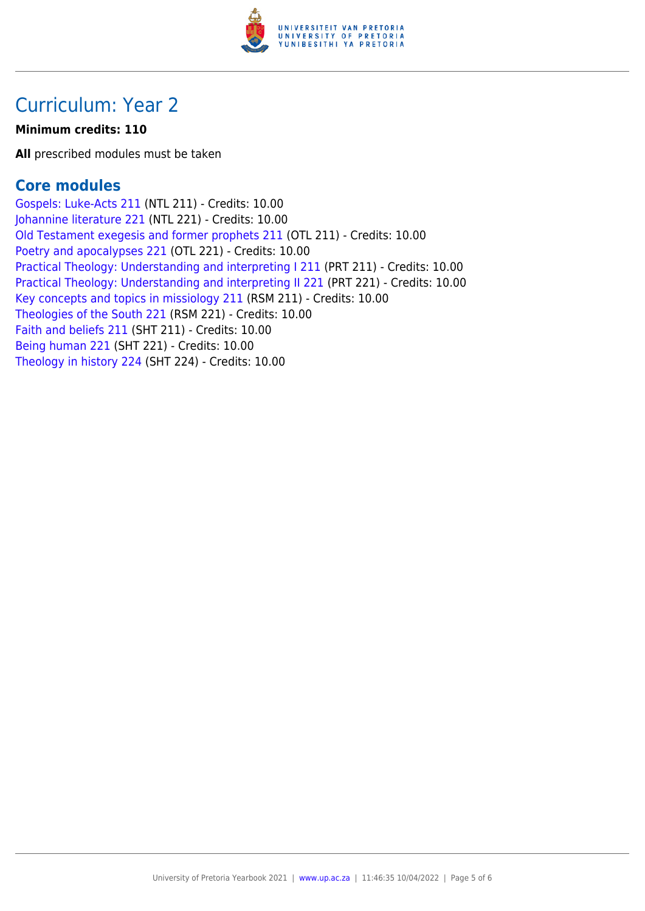

# Curriculum: Year 2

#### **Minimum credits: 110**

**All** prescribed modules must be taken

### **Core modules**

[Gospels: Luke-Acts 211](https://www.up.ac.za/yearbooks/2021/modules/view/NTL 211) (NTL 211) - Credits: 10.00 [Johannine literature 221](https://www.up.ac.za/yearbooks/2021/modules/view/NTL 221) (NTL 221) - Credits: 10.00 [Old Testament exegesis and former prophets 211](https://www.up.ac.za/yearbooks/2021/modules/view/OTL 211) (OTL 211) - Credits: 10.00 [Poetry and apocalypses 221](https://www.up.ac.za/yearbooks/2021/modules/view/OTL 221) (OTL 221) - Credits: 10.00 [Practical Theology: Understanding and interpreting I 211](https://www.up.ac.za/yearbooks/2021/modules/view/PRT 211) (PRT 211) - Credits: 10.00 [Practical Theology: Understanding and interpreting II 221](https://www.up.ac.za/yearbooks/2021/modules/view/PRT 221) (PRT 221) - Credits: 10.00 [Key concepts and topics in missiology 211](https://www.up.ac.za/yearbooks/2021/modules/view/RSM 211) (RSM 211) - Credits: 10.00 [Theologies of the South 221](https://www.up.ac.za/yearbooks/2021/modules/view/RSM 221) (RSM 221) - Credits: 10.00 [Faith and beliefs 211](https://www.up.ac.za/yearbooks/2021/modules/view/SHT 211) (SHT 211) - Credits: 10.00 [Being human 221](https://www.up.ac.za/yearbooks/2021/modules/view/SHT 221) (SHT 221) - Credits: 10.00 [Theology in history 224](https://www.up.ac.za/yearbooks/2021/modules/view/SHT 224) (SHT 224) - Credits: 10.00